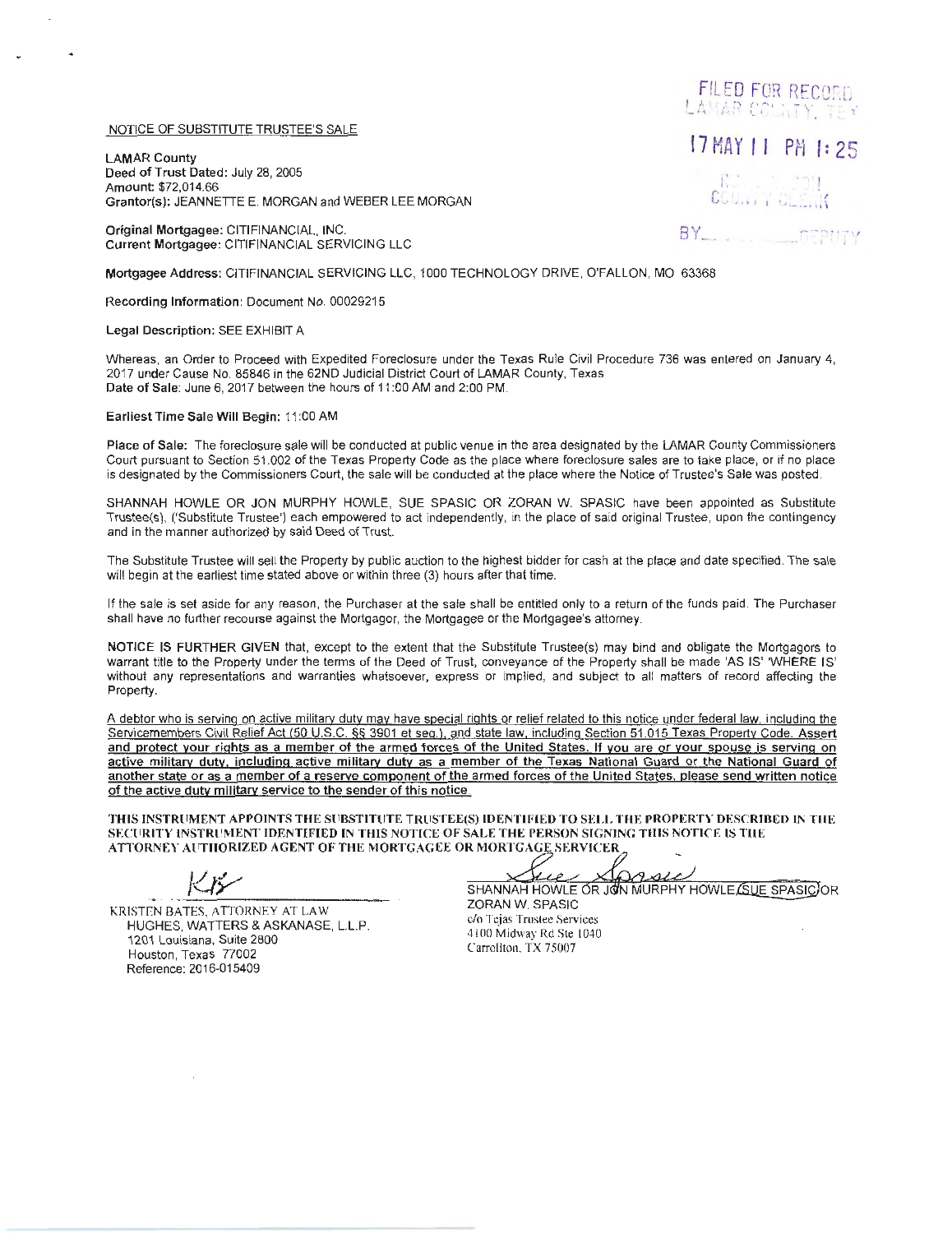## NOTICE OF SUBSTITUTE TRUSTEE'S SALE

LAMAR County Deed of Trust Dated: July 28, 2005 Amount: \$72,014.66 Grantor(s): JEANNETTE E. MORGAN and WEBER LEE MORGAN

Original Mortgagee: CITIFINANCIAL, INC. Current Mortgagee: CITIFINANCIAL SERVICING LLC

Mortgagee Address: CITIFINANCIAL SERVICING LLC , 1000 TECHNOLOGY DRIVE, O'FALLON, MO 63368

Recording Information: Document No. 00029215

Legal Description: SEE EXHIBIT A

Whereas, an Order to Proceed with Expedited Foreclosure under the Texas Rule Civil Procedure 736 was entered on January 4, 2017 under Cause No. 85846 in the 62ND Judicial District Court of LAMAR County, Texas Date of Sale: June 6, 2017 between the hours of 11 :00 AM and 2:00 PM.

Earliest Time Sale Will Begin: 11 :00 AM

Place of Sale: The foreclosure sale will be conducted at public venue in the area designated by the LAMAR County Commissioners Court pursuant to Section 51.002 of the Texas Property Code as the place where foreclosure sales are to take place, or if no place is designated by the Commissioners Court, the sale will be conducted at the place where the Notice of Trustee's Sale was posted.

SHANNAH HOWLE OR JON MURPHY HOWLE, SUE SPASIC OR ZORAN W. SPASIC have been appointed as Substitute Trustee(s), ('Substitute Trustee') each empowered to act independently, in the place of said original Trustee, upon the contingency and in the manner authorized by said Deed of Trust.

The Substitute Trustee will sell the Property by public auction to the highest bidder for cash at the place and date specified. The sale will begin at the earliest time stated above or within three (3) hours after that time.

If the sale is set aside for any reason, the Purchaser at the sale shall be entitled only to a return of the funds paid. The Purchaser shall have no further recourse against the Mortgagor, the Mortgagee or the Mortgagee's attorney.

NOTICE IS FURTHER GIVEN that, except to the extent that the Substitute Trustee(s) may bind and obligate the Mortgagors to warrant title to the Property under the terms of the Deed of Trust, conveyance of the Property shall be made 'AS IS' WHERE IS' without any representations and warranties whatsoever, express or implied, and subject to all matters of record affecting the Property.

A debtor who is serving on active militarv duty may have special rights or relief related to this notice under federal law, including the Servicemembers Civil Relief Act 150 U.S.C. §§ 3901 et seq.). and state law. including Section 51 .015 Texas Property Code. Assert and protect your rights as a member of the armed forces of the United States. If you are or your spouse is serving on active military duty, including active military duty as a member of the Texas National Guard or the National Guard of another state or as a member of a reserve component of the armed forces of the United States. please send written notice of the active duty military service to the sender of this notice.

THIS INSTRUMENT APPOINTS THE SUBSTITUTE TRUSTEE(S) IDENTIFIED TO SELL THE PROPERTY DESCRIBED IN THE SECURITY INSTRUMENT IDENTIFIED IN THIS NOTICE OF SALE THE PERSON SIGNING THIS NOTICE IS THE ATTORNEY AUTHORIZED AGENT OF THE MORTGAGEE OR MORTGAGE SERVICER

Sprse Jue

SHANNAH HOWLE OR JOIN MURPHY HOWLE (SUE SPASIC) OR ZORAN W. SPASIC

KRISTEN BATES, ATTORNEY AT LAW HUGHES, WATTERS & ASKANASE, L.L.P. 1201 Louisiana, Suite 2800 Houston, Texas 77002 Reference: 2016-015409

c/o Tejas Trustee Services 4100 Midway Rd Ste 1040 Carrollton. TX 75007